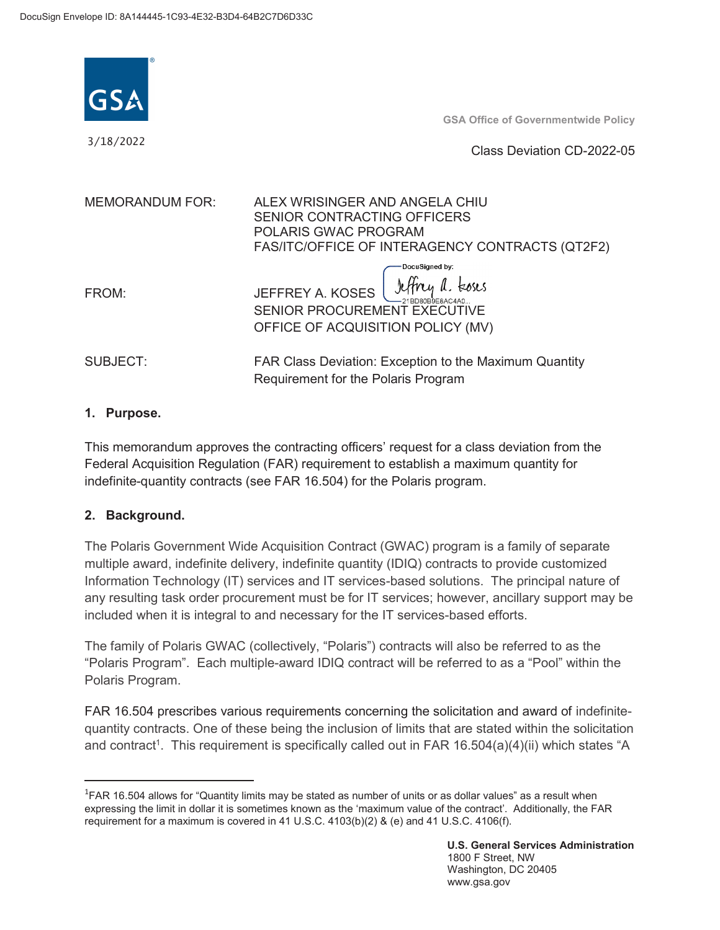

3/18/2022

**GSA Office of Governmentwide Policy** 

Class Deviation CD-2022-05

| <b>MEMORANDUM FOR:</b> | ALEX WRISINGER AND ANGELA CHIU<br>SENIOR CONTRACTING OFFICERS<br>POLARIS GWAC PROGRAM<br>FAS/ITC/OFFICE OF INTERAGENCY CONTRACTS (QT2F2) |
|------------------------|------------------------------------------------------------------------------------------------------------------------------------------|
| FROM:                  | DocuSigned by:<br>JEFFREY A. KOSES <i>lifty a.</i> Esses<br>SENIOR PROCUREMENT EXECUTIVE<br>OFFICE OF ACQUISITION POLICY (MV)            |
| SUBJECT:               | FAR Class Deviation: Exception to the Maximum Quantity<br>Requirement for the Polaris Program                                            |

### **1. Purpose.**

 indefinite-quantity contracts (see FAR 16.504) for the Polaris program. This memorandum approves the contracting officers' request for a class deviation from the Federal Acquisition Regulation (FAR) requirement to establish a maximum quantity for

### **2. Background.**

 Information Technology (IT) services and IT services-based solutions. The principal nature of any resulting task order procurement must be for IT services; however, ancillary support may be included when it is integral to and necessary for the IT services-based efforts. The Polaris Government Wide Acquisition Contract (GWAC) program is a family of separate multiple award, indefinite delivery, indefinite quantity (IDIQ) contracts to provide customized SENIOR PROCUREMENT EXECUTIVE<br> **CEPT CONSULT CONSULT CONSULT CONSULT CONSULT CONSULT CONSULT CONSULT CONSULT CONSULT CONSULT CONSULT CONSULT CONSULT CONSULT CONSULT CONSULT CONSULT CONSULT CONSULT CONSULT CONSULT CONSULT CO** 

 The family of Polaris GWAC (collectively, "Polaris") contracts will also be referred to as the "Polaris Program". Each multiple-award IDIQ contract will be referred to as a "Pool" within the Polaris Program.

and contract<sup>1</sup>. This requirement is specifically called out in FAR 16.504(a)(4)(ii) which states "A FAR 16.504 prescribes various requirements concerning the solicitation and award of indefinitequantity contracts. One of these being the inclusion of limits that are stated within the solicitation

requirement for a maximum is covered in 41 U.S.C. 4103(b)(2) & (e) and 41 U.S.C. 4106(f).  $^{1}$ FAR 16.504 allows for "Quantity limits may be stated as number of units or as dollar values" as a result when expressing the limit in dollar it is sometimes known as the 'maximum value of the contract'. Additionally, the FAR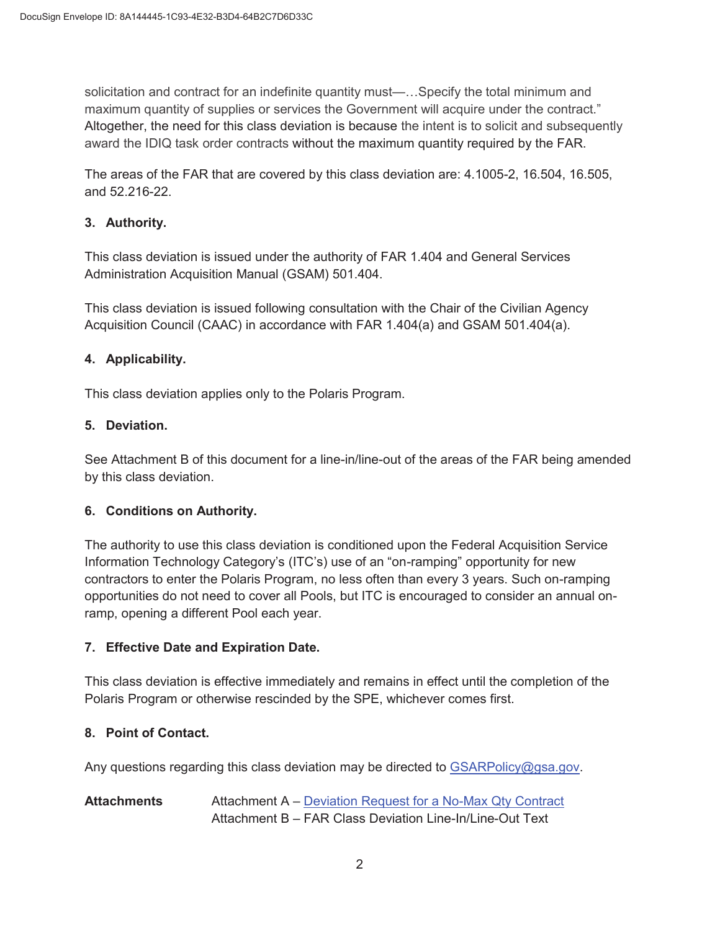maximum quantity of supplies or services the Government will acquire under the contract." solicitation and contract for an indefinite quantity must—…Specify the total minimum and Altogether, the need for this class deviation is because the intent is to solicit and subsequently award the IDIQ task order contracts without the maximum quantity required by the FAR.

The areas of the FAR that are covered by this class deviation are: 4.1005-2, 16.504, 16.505, and 52.216-22.

## **3. Authority.**

Administration Acquisition Manual (GSAM) 501.404. This class deviation is issued under the authority of FAR 1.404 and General Services

 Acquisition Council (CAAC) in accordance with FAR 1.404(a) and GSAM 501.404(a). This class deviation is issued following consultation with the Chair of the Civilian Agency

## **4. Applicability.**

This class deviation applies only to the Polaris Program.

## **5. Deviation.**

See Attachment B of this document for a line-in/line-out of the areas of the FAR being amended by this class deviation.

## **6. Conditions on Authority.**

The authority to use this class deviation is conditioned upon the Federal Acquisition Service Information Technology Category's (ITC's) use of an "on-ramping" opportunity for new contractors to enter the Polaris Program, no less often than every 3 years. Such on-ramping opportunities do not need to cover all Pools, but ITC is encouraged to consider an annual onramp, opening a different Pool each year.

## **7. Effective Date and Expiration Date.**

 This class deviation is effective immediately and remains in effect until the completion of the Polaris Program or otherwise rescinded by the SPE, whichever comes first.

## **8. Point of Contact.**

Any questions regarding this class deviation may be directed to [GSARPolicy@gsa.gov](mailto:GSARPolicy@gsa.gov).

## **Attachments** Attachment A – Deviation Request for a No-Max Qty Contract Attachment B – FAR Class Deviation Line-In/Line-Out Text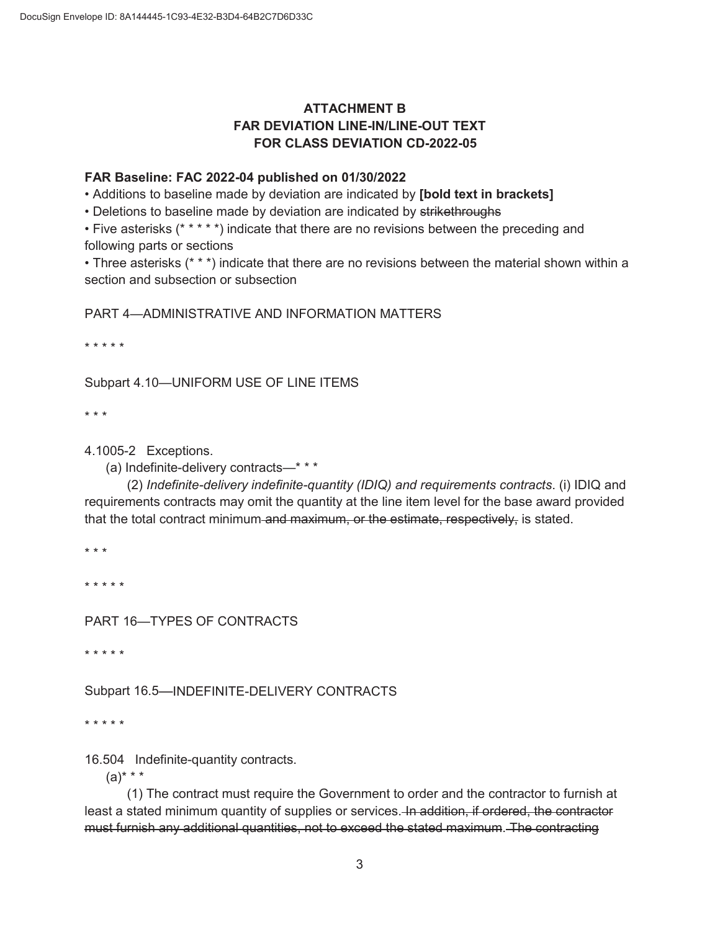# **ATTACHMENT B FAR DEVIATION LINE-IN/LINE-OUT TEXT FOR CLASS DEVIATION CD-2022-05**

### **FAR Baseline: FAC 2022-04 published on 01/30/2022**

• Additions to baseline made by deviation are indicated by **[bold text in brackets]** 

• Deletions to baseline made by deviation are indicated by strikethroughs

• Five asterisks (\* \* \* \* \*) indicate that there are no revisions between the preceding and following parts or sections

• Three asterisks (\* \* \*) indicate that there are no revisions between the material shown within a section and subsection or subsection

PART 4—ADMINISTRATIVE AND INFORMATION MATTERS

\* \* \* \* \*

Subpart 4.10—UNIFORM USE OF LINE ITEMS

\* \* \*

4.1005-2 Exceptions.

(a) Indefinite-delivery contracts—\* \* \*

 (2) *Indefinite-delivery indefinite-quantity (IDIQ) and requirements contracts*. (i) IDIQ and requirements contracts may omit the quantity at the line item level for the base award provided that the total contract minimum and maximum, or the estimate, respectively, is stated.

\* \* \*

\* \* \* \* \*

PART 16—TYPES OF CONTRACTS

\* \* \* \* \*

Subpart 16.5—INDEFINITE-DELIVERY CONTRACTS

\* \* \* \* \*

16.504 Indefinite-quantity contracts.

 $(a)$ \* \* \*

 (1) The contract must require the Government to order and the contractor to furnish at least a stated minimum quantity of supplies or services. In addition, if ordered, the contractor must furnish any additional quantities, not to exceed the stated maximum. The contracting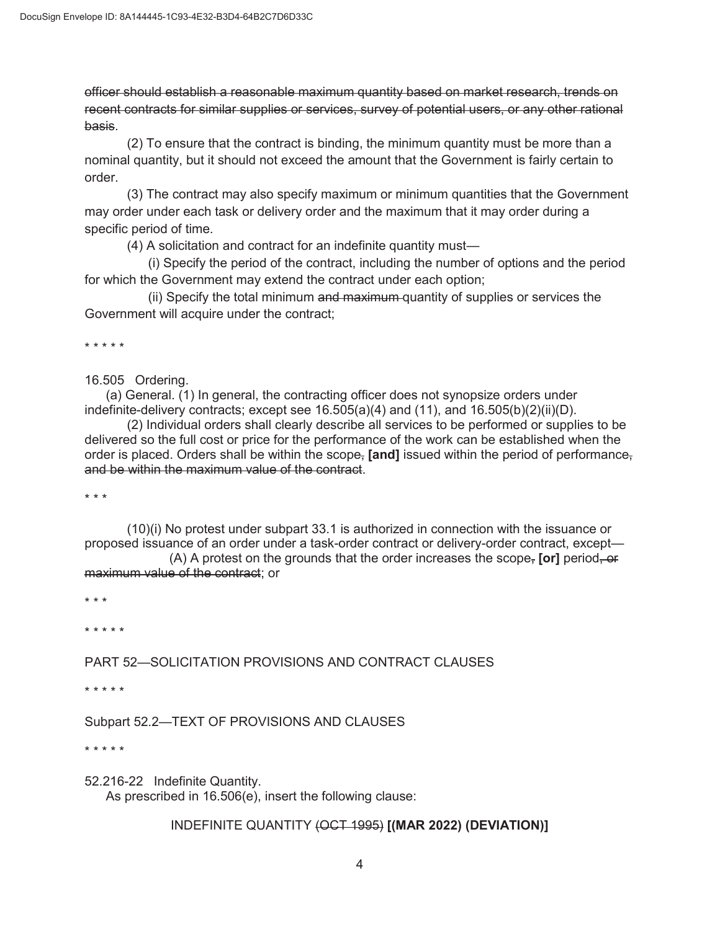officer should establish a reasonable maximum quantity based on market research, trends on recent contracts for similar supplies or services, survey of potential users, or any other rational basis.

 (2) To ensure that the contract is binding, the minimum quantity must be more than a nominal quantity, but it should not exceed the amount that the Government is fairly certain to order.

(3) The contract may also specify maximum or minimum quantities that the Government may order under each task or delivery order and the maximum that it may order during a specific period of time.

(4) A solicitation and contract for an indefinite quantity must—

(i) Specify the period of the contract, including the number of options and the period for which the Government may extend the contract under each option;

(ii) Specify the total minimum and maximum quantity of supplies or services the Government will acquire under the contract;

\* \* \* \* \*

16.505 Ordering.

 (a) General. (1) In general, the contracting officer does not synopsize orders under indefinite-delivery contracts; except see  $16.505(a)(4)$  and  $(11)$ , and  $16.505(b)(2)(ii)(D)$ .

(2) Individual orders shall clearly describe all services to be performed or supplies to be delivered so the full cost or price for the performance of the work can be established when the order is placed. Orders shall be within the scope, **[and]** issued within the period of performance, and be within the maximum value of the contract.

\* \* \*

<del>maximum value of the contract</del>; or<br>\* \* \* (10)(i) No protest under subpart 33.1 is authorized in connection with the issuance or proposed issuance of an order under a task-order contract or delivery-order contract, except— (A) A protest on the grounds that the order increases the scope, **[or]** period, or

\* \* \* \* \*

PART 52—SOLICITATION PROVISIONS AND CONTRACT CLAUSES

\* \* \* \* \*

Subpart 52.2—TEXT OF PROVISIONS AND CLAUSES

\* \* \* \* \*

 52.216-22 Indefinite Quantity. As prescribed in 16.506(e), insert the following clause:

### INDEFINITE QUANTITY (OCT 1995) **[(MAR 2022) (DEVIATION)]**